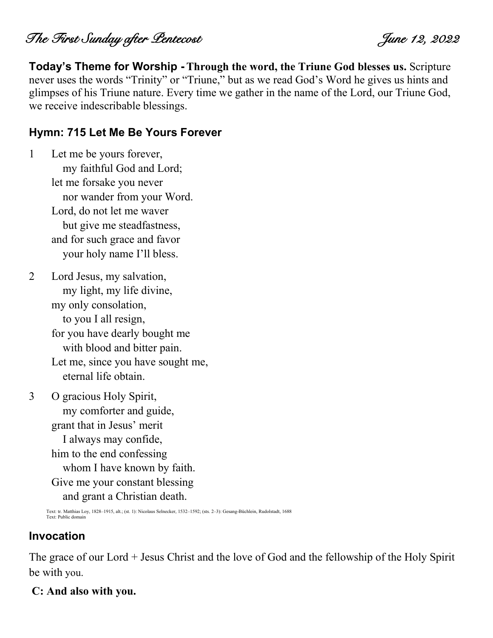# The First Sunday after Pentecost June 12, 2022

**Today's Theme for Worship - Through the word, the Triune God blesses us.** Scripture never uses the words "Trinity" or "Triune," but as we read God's Word he gives us hints and glimpses of his Triune nature. Every time we gather in the name of the Lord, our Triune God, we receive indescribable blessings.

#### **Hymn: 715 Let Me Be Yours Forever**

1 Let me be yours forever, my faithful God and Lord; let me forsake you never nor wander from your Word. Lord, do not let me waver but give me steadfastness, and for such grace and favor your holy name I'll bless.

2 Lord Jesus, my salvation, my light, my life divine, my only consolation, to you I all resign, for you have dearly bought me with blood and bitter pain. Let me, since you have sought me, eternal life obtain.

3 O gracious Holy Spirit, my comforter and guide, grant that in Jesus' merit I always may confide, him to the end confessing whom I have known by faith. Give me your constant blessing and grant a Christian death.

Text: tr. Matthias Loy, 1828–1915, alt.; (st. 1): Nicolaus Selnecker, 1532–1592; (sts. 2–3): Gesang-Büchlein, Rudolstadt, 1688 Text: Public domain

#### **Invocation**

The grace of our Lord + Jesus Christ and the love of God and the fellowship of the Holy Spirit be with you.

**C: And also with you.**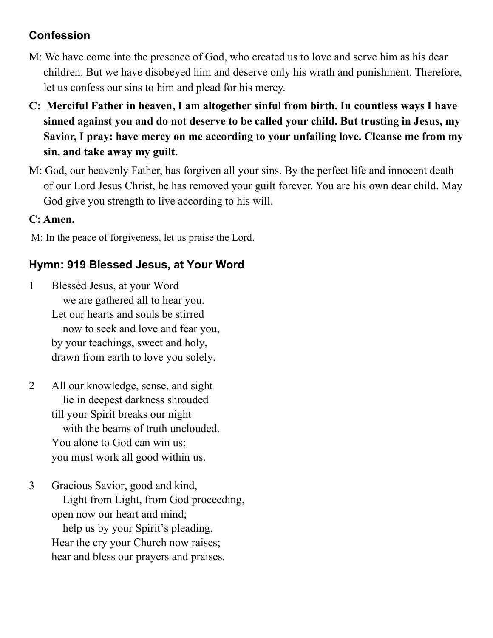# **Confession**

- M: We have come into the presence of God, who created us to love and serve him as his dear children. But we have disobeyed him and deserve only his wrath and punishment. Therefore, let us confess our sins to him and plead for his mercy.
- **C: Merciful Father in heaven, I am altogether sinful from birth. In countless ways I have sinned against you and do not deserve to be called your child. But trusting in Jesus, my Savior, I pray: have mercy on me according to your unfailing love. Cleanse me from my sin, and take away my guilt.**
- M: God, our heavenly Father, has forgiven all your sins. By the perfect life and innocent death of our Lord Jesus Christ, he has removed your guilt forever. You are his own dear child. May God give you strength to live according to his will.

### **C: Amen.**

M: In the peace of forgiveness, let us praise the Lord.

## **Hymn: 919 Blessed Jesus, at Your Word**

1 Blessèd Jesus, at your Word we are gathered all to hear you. Let our hearts and souls be stirred now to seek and love and fear you, by your teachings, sweet and holy, drawn from earth to love you solely.

- 2 All our knowledge, sense, and sight lie in deepest darkness shrouded till your Spirit breaks our night with the beams of truth unclouded. You alone to God can win us; you must work all good within us.
- 3 Gracious Savior, good and kind, Light from Light, from God proceeding, open now our heart and mind;

 help us by your Spirit's pleading. Hear the cry your Church now raises; hear and bless our prayers and praises.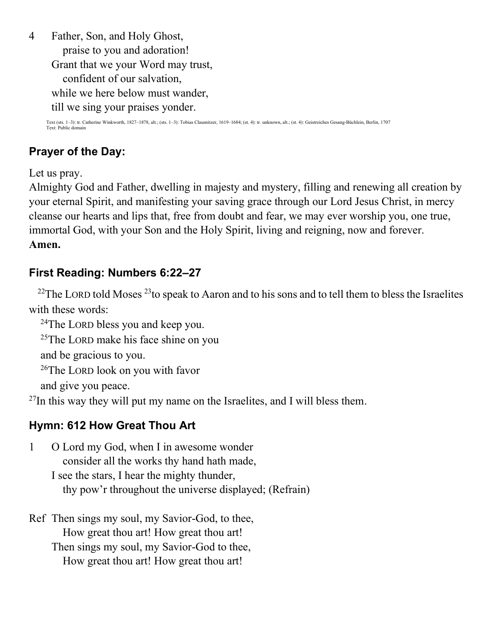4 Father, Son, and Holy Ghost, praise to you and adoration! Grant that we your Word may trust, confident of our salvation, while we here below must wander, till we sing your praises yonder.

Text (sts. 1–3): tr. Catherine Winkworth, 1827–1878, alt.; (sts. 1–3): Tobias Clausnitzer, 1619–1684; (st. 4): tr. unknown, alt.; (st. 4): Geistreiches Gesang-Büchlein, Berlin, 1707 Text: Public domain

# **Prayer of the Day:**

Let us pray.

Almighty God and Father, dwelling in majesty and mystery, filling and renewing all creation by your eternal Spirit, and manifesting your saving grace through our Lord Jesus Christ, in mercy cleanse our hearts and lips that, free from doubt and fear, we may ever worship you, one true, immortal God, with your Son and the Holy Spirit, living and reigning, now and forever. **Amen.**

# **First Reading: Numbers 6:22–27**

<sup>22</sup>The LORD told Moses  $^{23}$  to speak to Aaron and to his sons and to tell them to bless the Israelites with these words:

<sup>24</sup>The LORD bless you and keep you. <sup>25</sup>The LORD make his face shine on you and be gracious to you. <sup>26</sup>The LORD look on you with favor and give you peace. 27 In this way they will put my name on the Israelites, and I will bless them.

# **Hymn: 612 How Great Thou Art**

- 1 O Lord my God, when I in awesome wonder consider all the works thy hand hath made, I see the stars, I hear the mighty thunder, thy pow'r throughout the universe displayed; (Refrain)
- Ref Then sings my soul, my Savior-God, to thee, How great thou art! How great thou art! Then sings my soul, my Savior-God to thee, How great thou art! How great thou art!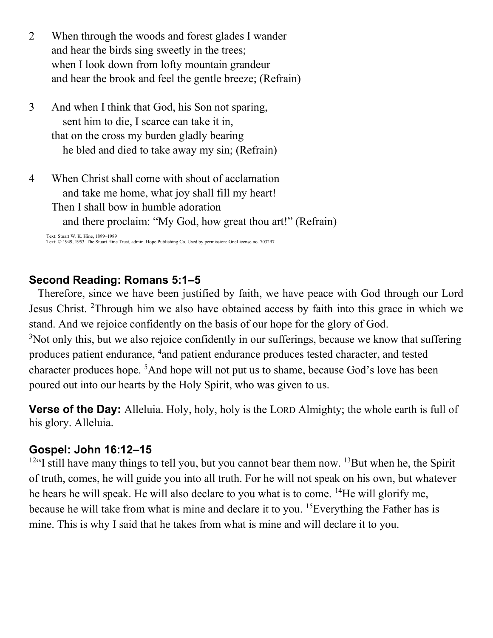- 2 When through the woods and forest glades I wander and hear the birds sing sweetly in the trees; when I look down from lofty mountain grandeur and hear the brook and feel the gentle breeze; (Refrain)
- 3 And when I think that God, his Son not sparing, sent him to die, I scarce can take it in, that on the cross my burden gladly bearing he bled and died to take away my sin; (Refrain)
- 4 When Christ shall come with shout of acclamation and take me home, what joy shall fill my heart! Then I shall bow in humble adoration and there proclaim: "My God, how great thou art!" (Refrain)

Text: Stuart W. K. Hine, 1899–1989 Text: © 1949, 1953 The Stuart Hine Trust, admin. Hope Publishing Co. Used by permission: OneLicense no. 703297

#### **Second Reading: Romans 5:1–5**

Therefore, since we have been justified by faith, we have peace with God through our Lord Jesus Christ. <sup>2</sup>Through him we also have obtained access by faith into this grace in which we stand. And we rejoice confidently on the basis of our hope for the glory of God. <sup>3</sup>Not only this, but we also rejoice confidently in our sufferings, because we know that suffering produces patient endurance, <sup>4</sup>and patient endurance produces tested character, and tested character produces hope. <sup>5</sup>And hope will not put us to shame, because God's love has been poured out into our hearts by the Holy Spirit, who was given to us.

**Verse of the Day:** Alleluia. Holy, holy, holy is the LORD Almighty; the whole earth is full of his glory. Alleluia.

#### **Gospel: John 16:12–15**

<sup>12</sup> I still have many things to tell you, but you cannot bear them now. <sup>13</sup> But when he, the Spirit of truth, comes, he will guide you into all truth. For he will not speak on his own, but whatever he hears he will speak. He will also declare to you what is to come. <sup>14</sup>He will glorify me, because he will take from what is mine and declare it to you. <sup>15</sup>Everything the Father has is mine. This is why I said that he takes from what is mine and will declare it to you.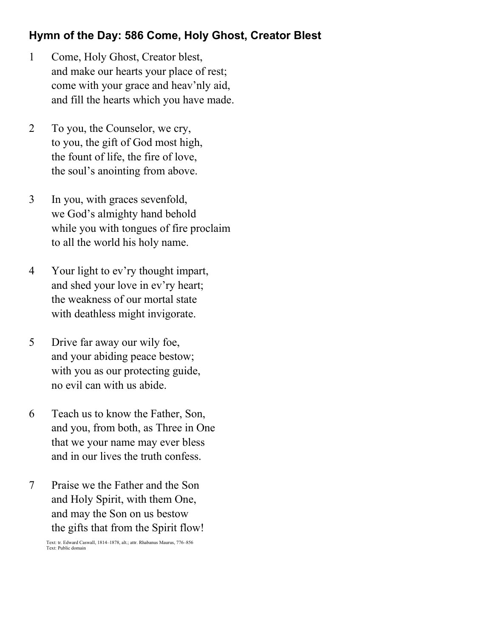# **Hymn of the Day: 586 Come, Holy Ghost, Creator Blest**

- 1 Come, Holy Ghost, Creator blest, and make our hearts your place of rest; come with your grace and heav'nly aid, and fill the hearts which you have made.
- 2 To you, the Counselor, we cry, to you, the gift of God most high, the fount of life, the fire of love, the soul's anointing from above.
- 3 In you, with graces sevenfold, we God's almighty hand behold while you with tongues of fire proclaim to all the world his holy name.
- 4 Your light to ev'ry thought impart, and shed your love in ev'ry heart; the weakness of our mortal state with deathless might invigorate.
- 5 Drive far away our wily foe, and your abiding peace bestow; with you as our protecting guide, no evil can with us abide.
- 6 Teach us to know the Father, Son, and you, from both, as Three in One that we your name may ever bless and in our lives the truth confess.
- 7 Praise we the Father and the Son and Holy Spirit, with them One, and may the Son on us bestow the gifts that from the Spirit flow!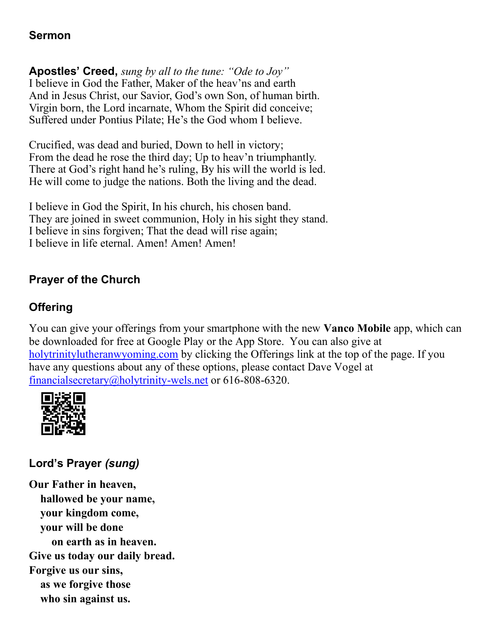## **Sermon**

**Apostles' Creed,** *sung by all to the tune: "Ode to Joy"* I believe in God the Father, Maker of the heav'ns and earth And in Jesus Christ, our Savior, God's own Son, of human birth. Virgin born, the Lord incarnate, Whom the Spirit did conceive; Suffered under Pontius Pilate; He's the God whom I believe.

Crucified, was dead and buried, Down to hell in victory; From the dead he rose the third day; Up to heav'n triumphantly. There at God's right hand he's ruling, By his will the world is led. He will come to judge the nations. Both the living and the dead.

I believe in God the Spirit, In his church, his chosen band. They are joined in sweet communion, Holy in his sight they stand. I believe in sins forgiven; That the dead will rise again; I believe in life eternal. Amen! Amen! Amen!

# **Prayer of the Church**

# **Offering**

You can give your offerings from your smartphone with the new **Vanco Mobile** app, which can be downloaded for free at Google Play or the App Store. You can also give at [holytrinitylutheranwyoming.com](http://holytrinitylutheranwyoming.com/) by clicking the Offerings link at the top of the page. If you have any questions about any of these options, please contact Dave Vogel at [financialsecretary@holytrinity-wels.net](mailto:financialsecretary@holytrinity-wels.net) or 616-808-6320.



# **Lord's Prayer** *(sung)*

**Our Father in heaven, hallowed be your name, your kingdom come, your will be done on earth as in heaven. Give us today our daily bread. Forgive us our sins, as we forgive those who sin against us.**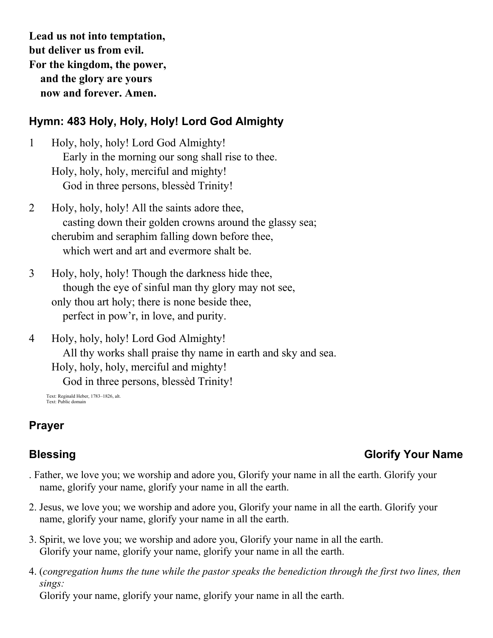**Lead us not into temptation, but deliver us from evil. For the kingdom, the power, and the glory are yours now and forever. Amen.**

## **Hymn: 483 Holy, Holy, Holy! Lord God Almighty**

- 1 Holy, holy, holy! Lord God Almighty! Early in the morning our song shall rise to thee. Holy, holy, holy, merciful and mighty! God in three persons, blessèd Trinity!
- 2 Holy, holy, holy! All the saints adore thee, casting down their golden crowns around the glassy sea; cherubim and seraphim falling down before thee, which wert and art and evermore shalt be.
- 3 Holy, holy, holy! Though the darkness hide thee, though the eye of sinful man thy glory may not see, only thou art holy; there is none beside thee, perfect in pow'r, in love, and purity.
- 4 Holy, holy, holy! Lord God Almighty! All thy works shall praise thy name in earth and sky and sea. Holy, holy, holy, merciful and mighty! God in three persons, blessèd Trinity!

Text: Reginald Heber, 1783–1826, alt. Text: Public domain

# **Prayer**

- . Father, we love you; we worship and adore you, Glorify your name in all the earth. Glorify your name, glorify your name, glorify your name in all the earth.
- 2. Jesus, we love you; we worship and adore you, Glorify your name in all the earth. Glorify your name, glorify your name, glorify your name in all the earth.
- 3. Spirit, we love you; we worship and adore you, Glorify your name in all the earth. Glorify your name, glorify your name, glorify your name in all the earth.
- 4. (*congregation hums the tune while the pastor speaks the benediction through the first two lines, then sings:*

Glorify your name, glorify your name, glorify your name in all the earth.

## **Blessing Glorify Your Name**